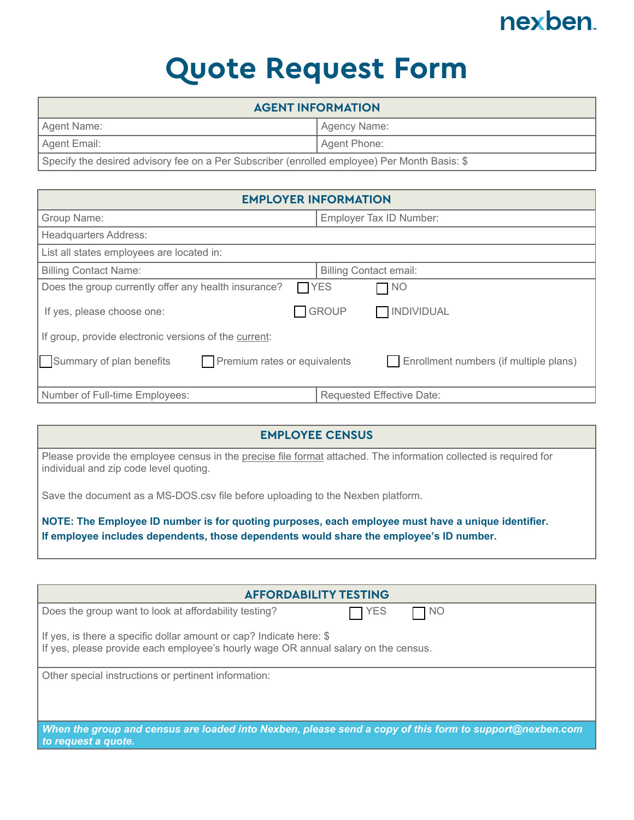## nexben

## **Quote Request Form**

| <b>AGENT INFORMATION</b>                                                                     |                |
|----------------------------------------------------------------------------------------------|----------------|
| Agent Name:                                                                                  | I Agency Name: |
| Agent Email:                                                                                 | Agent Phone:   |
| Specify the desired advisory fee on a Per Subscriber (enrolled employee) Per Month Basis: \$ |                |

| <b>EMPLOYER INFORMATION</b>                                                                        |                                   |  |
|----------------------------------------------------------------------------------------------------|-----------------------------------|--|
| Group Name:                                                                                        | Employer Tax ID Number:           |  |
| <b>Headquarters Address:</b>                                                                       |                                   |  |
| List all states employees are located in:                                                          |                                   |  |
| <b>Billing Contact Name:</b>                                                                       | <b>Billing Contact email:</b>     |  |
| Does the group currently offer any health insurance?<br>$\Box$ YES                                 | NO                                |  |
| If yes, please choose one:                                                                         | <b>GROUP</b><br><b>INDIVIDUAL</b> |  |
| If group, provide electronic versions of the current:                                              |                                   |  |
| Premium rates or equivalents<br>Summary of plan benefits<br>Enrollment numbers (if multiple plans) |                                   |  |
| Number of Full-time Employees:                                                                     | <b>Requested Effective Date:</b>  |  |

## **EMPLOYEE CENSUS**

Please provide the employee census in the precise file format attached. The information collected is required for individual and zip code level quoting.

Save the document as a MS-DOS.csv file before uploading to the Nexben platform.

**NOTE: The Employee ID number is for quoting purposes, each employee must have a unique identifier. If employee includes dependents, those dependents would share the employee's ID number.**

| <b>AFFORDABILITY TESTING</b>                                                                                                   |  |
|--------------------------------------------------------------------------------------------------------------------------------|--|
| Does the group want to look at affordability testing?<br><b>YES</b><br>□ NO                                                    |  |
| If yes, is there a specific dollar amount or cap? Indicate here: $\$                                                           |  |
| If yes, please provide each employee's hourly wage OR annual salary on the census.                                             |  |
|                                                                                                                                |  |
| Other special instructions or pertinent information:                                                                           |  |
|                                                                                                                                |  |
|                                                                                                                                |  |
|                                                                                                                                |  |
| When the group and census are loaded into Nexben, please send a copy of this form to support@nexben.com<br>to request a quote. |  |